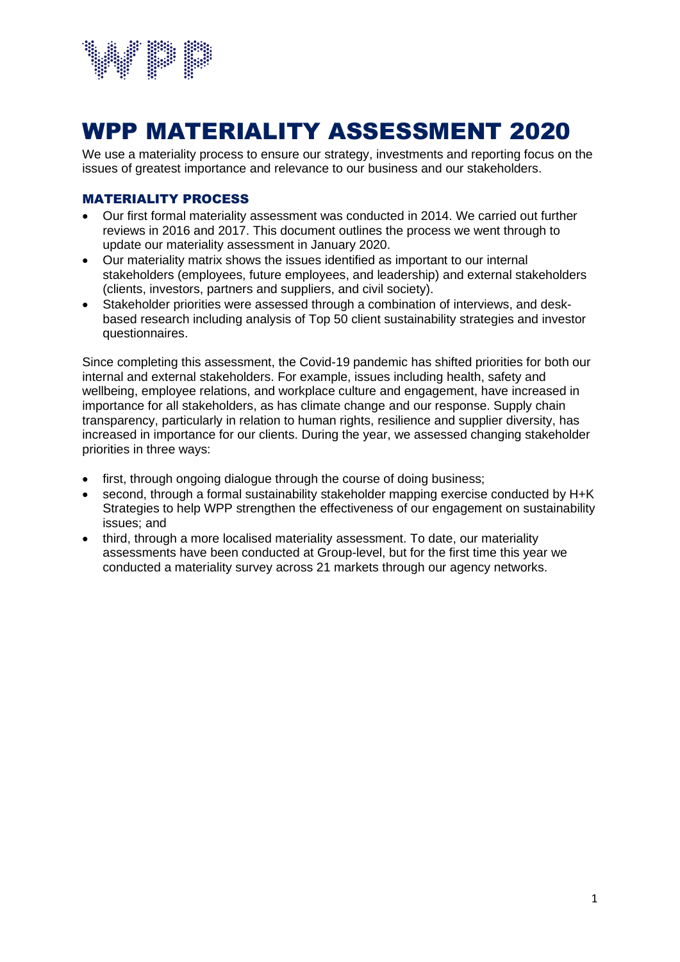

# WPP MATERIALITY ASSESSMENT 2020

We use a materiality process to ensure our strategy, investments and reporting focus on the issues of greatest importance and relevance to our business and our stakeholders.

#### MATERIALITY PROCESS

- Our first formal materiality assessment was conducted in 2014. We carried out further reviews in 2016 and 2017. This document outlines the process we went through to update our materiality assessment in January 2020.
- Our materiality matrix shows the issues identified as important to our internal stakeholders (employees, future employees, and leadership) and external stakeholders (clients, investors, partners and suppliers, and civil society).
- Stakeholder priorities were assessed through a combination of interviews, and deskbased research including analysis of Top 50 client sustainability strategies and investor questionnaires.

Since completing this assessment, the Covid-19 pandemic has shifted priorities for both our internal and external stakeholders. For example, issues including health, safety and wellbeing, employee relations, and workplace culture and engagement, have increased in importance for all stakeholders, as has climate change and our response. Supply chain transparency, particularly in relation to human rights, resilience and supplier diversity, has increased in importance for our clients. During the year, we assessed changing stakeholder priorities in three ways:

- first, through ongoing dialogue through the course of doing business;
- second, through a formal sustainability stakeholder mapping exercise conducted by H+K Strategies to help WPP strengthen the effectiveness of our engagement on sustainability issues; and
- third, through a more localised materiality assessment. To date, our materiality assessments have been conducted at Group-level, but for the first time this year we conducted a materiality survey across 21 markets through our agency networks.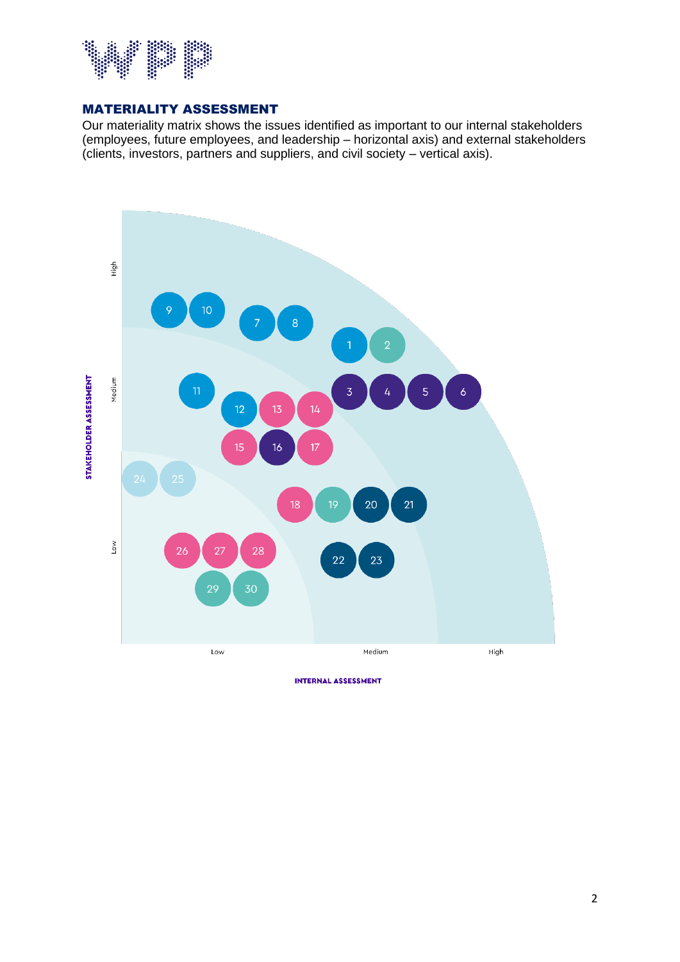

#### MATERIALITY ASSESSMENT

Our materiality matrix shows the issues identified as important to our internal stakeholders (employees, future employees, and leadership – horizontal axis) and external stakeholders (clients, investors, partners and suppliers, and civil society – vertical axis).



**INTERNAL ASSESSMENT**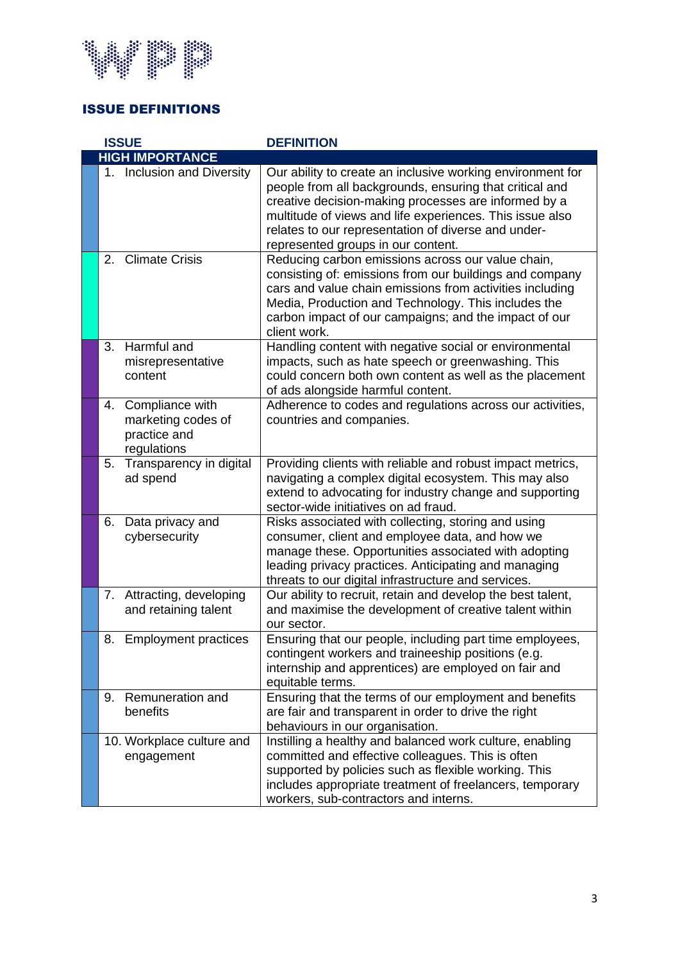

## ISSUE DEFINITIONS

| <b>ISSUE</b> |                        |                                                                      | <b>DEFINITION</b>                                                                                                                                                                                                                                                                                                                      |  |  |  |
|--------------|------------------------|----------------------------------------------------------------------|----------------------------------------------------------------------------------------------------------------------------------------------------------------------------------------------------------------------------------------------------------------------------------------------------------------------------------------|--|--|--|
|              | <b>HIGH IMPORTANCE</b> |                                                                      |                                                                                                                                                                                                                                                                                                                                        |  |  |  |
|              |                        | 1. Inclusion and Diversity                                           | Our ability to create an inclusive working environment for<br>people from all backgrounds, ensuring that critical and<br>creative decision-making processes are informed by a<br>multitude of views and life experiences. This issue also<br>relates to our representation of diverse and under-<br>represented groups in our content. |  |  |  |
|              | 2 <sub>1</sub>         | <b>Climate Crisis</b>                                                | Reducing carbon emissions across our value chain,<br>consisting of: emissions from our buildings and company<br>cars and value chain emissions from activities including<br>Media, Production and Technology. This includes the<br>carbon impact of our campaigns; and the impact of our<br>client work.                               |  |  |  |
|              | 3.                     | Harmful and<br>misrepresentative<br>content                          | Handling content with negative social or environmental<br>impacts, such as hate speech or greenwashing. This<br>could concern both own content as well as the placement<br>of ads alongside harmful content.                                                                                                                           |  |  |  |
|              | 4.                     | Compliance with<br>marketing codes of<br>practice and<br>regulations | Adherence to codes and regulations across our activities,<br>countries and companies.                                                                                                                                                                                                                                                  |  |  |  |
|              | 5.                     | Transparency in digital<br>ad spend                                  | Providing clients with reliable and robust impact metrics,<br>navigating a complex digital ecosystem. This may also<br>extend to advocating for industry change and supporting<br>sector-wide initiatives on ad fraud.                                                                                                                 |  |  |  |
|              | 6.                     | Data privacy and<br>cybersecurity                                    | Risks associated with collecting, storing and using<br>consumer, client and employee data, and how we<br>manage these. Opportunities associated with adopting<br>leading privacy practices. Anticipating and managing<br>threats to our digital infrastructure and services.                                                           |  |  |  |
|              | 7.                     | Attracting, developing<br>and retaining talent                       | Our ability to recruit, retain and develop the best talent,<br>and maximise the development of creative talent within<br>our sector.                                                                                                                                                                                                   |  |  |  |
|              | 8.                     | <b>Employment practices</b>                                          | Ensuring that our people, including part time employees,<br>contingent workers and traineeship positions (e.g.<br>internship and apprentices) are employed on fair and<br>equitable terms.                                                                                                                                             |  |  |  |
|              | 9.                     | Remuneration and<br>benefits                                         | Ensuring that the terms of our employment and benefits<br>are fair and transparent in order to drive the right<br>behaviours in our organisation.                                                                                                                                                                                      |  |  |  |
|              |                        | 10. Workplace culture and<br>engagement                              | Instilling a healthy and balanced work culture, enabling<br>committed and effective colleagues. This is often<br>supported by policies such as flexible working. This<br>includes appropriate treatment of freelancers, temporary<br>workers, sub-contractors and interns.                                                             |  |  |  |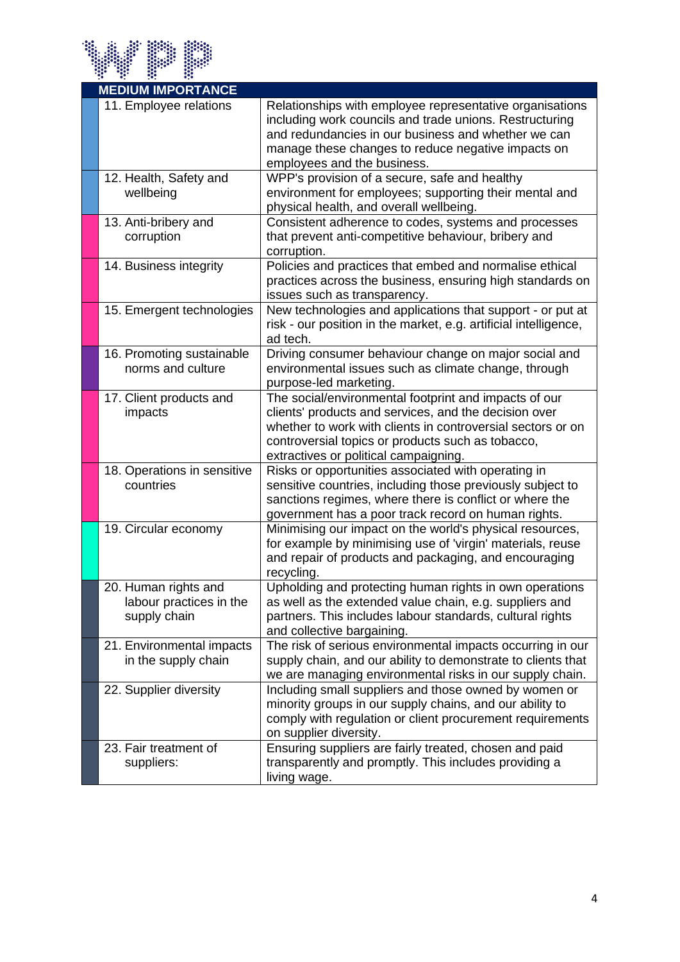

| <b>MEDIUM IMPORTANCE</b>                                        |                                                                                                                                                                                                                                                                             |
|-----------------------------------------------------------------|-----------------------------------------------------------------------------------------------------------------------------------------------------------------------------------------------------------------------------------------------------------------------------|
| 11. Employee relations                                          | Relationships with employee representative organisations<br>including work councils and trade unions. Restructuring<br>and redundancies in our business and whether we can<br>manage these changes to reduce negative impacts on<br>employees and the business.             |
| 12. Health, Safety and<br>wellbeing                             | WPP's provision of a secure, safe and healthy<br>environment for employees; supporting their mental and<br>physical health, and overall wellbeing.                                                                                                                          |
| 13. Anti-bribery and<br>corruption                              | Consistent adherence to codes, systems and processes<br>that prevent anti-competitive behaviour, bribery and<br>corruption.                                                                                                                                                 |
| 14. Business integrity                                          | Policies and practices that embed and normalise ethical<br>practices across the business, ensuring high standards on<br>issues such as transparency.                                                                                                                        |
| 15. Emergent technologies                                       | New technologies and applications that support - or put at<br>risk - our position in the market, e.g. artificial intelligence,<br>ad tech.                                                                                                                                  |
| 16. Promoting sustainable<br>norms and culture                  | Driving consumer behaviour change on major social and<br>environmental issues such as climate change, through<br>purpose-led marketing.                                                                                                                                     |
| 17. Client products and<br>impacts                              | The social/environmental footprint and impacts of our<br>clients' products and services, and the decision over<br>whether to work with clients in controversial sectors or on<br>controversial topics or products such as tobacco,<br>extractives or political campaigning. |
| 18. Operations in sensitive<br>countries                        | Risks or opportunities associated with operating in<br>sensitive countries, including those previously subject to<br>sanctions regimes, where there is conflict or where the<br>government has a poor track record on human rights.                                         |
| 19. Circular economy                                            | Minimising our impact on the world's physical resources,<br>for example by minimising use of 'virgin' materials, reuse<br>and repair of products and packaging, and encouraging<br>recycling.                                                                               |
| 20. Human rights and<br>labour practices in the<br>supply chain | Upholding and protecting human rights in own operations<br>as well as the extended value chain, e.g. suppliers and<br>partners. This includes labour standards, cultural rights<br>and collective bargaining.                                                               |
| 21. Environmental impacts<br>in the supply chain                | The risk of serious environmental impacts occurring in our<br>supply chain, and our ability to demonstrate to clients that<br>we are managing environmental risks in our supply chain.                                                                                      |
| 22. Supplier diversity                                          | Including small suppliers and those owned by women or<br>minority groups in our supply chains, and our ability to<br>comply with regulation or client procurement requirements<br>on supplier diversity.                                                                    |
| 23. Fair treatment of<br>suppliers:                             | Ensuring suppliers are fairly treated, chosen and paid<br>transparently and promptly. This includes providing a<br>living wage.                                                                                                                                             |